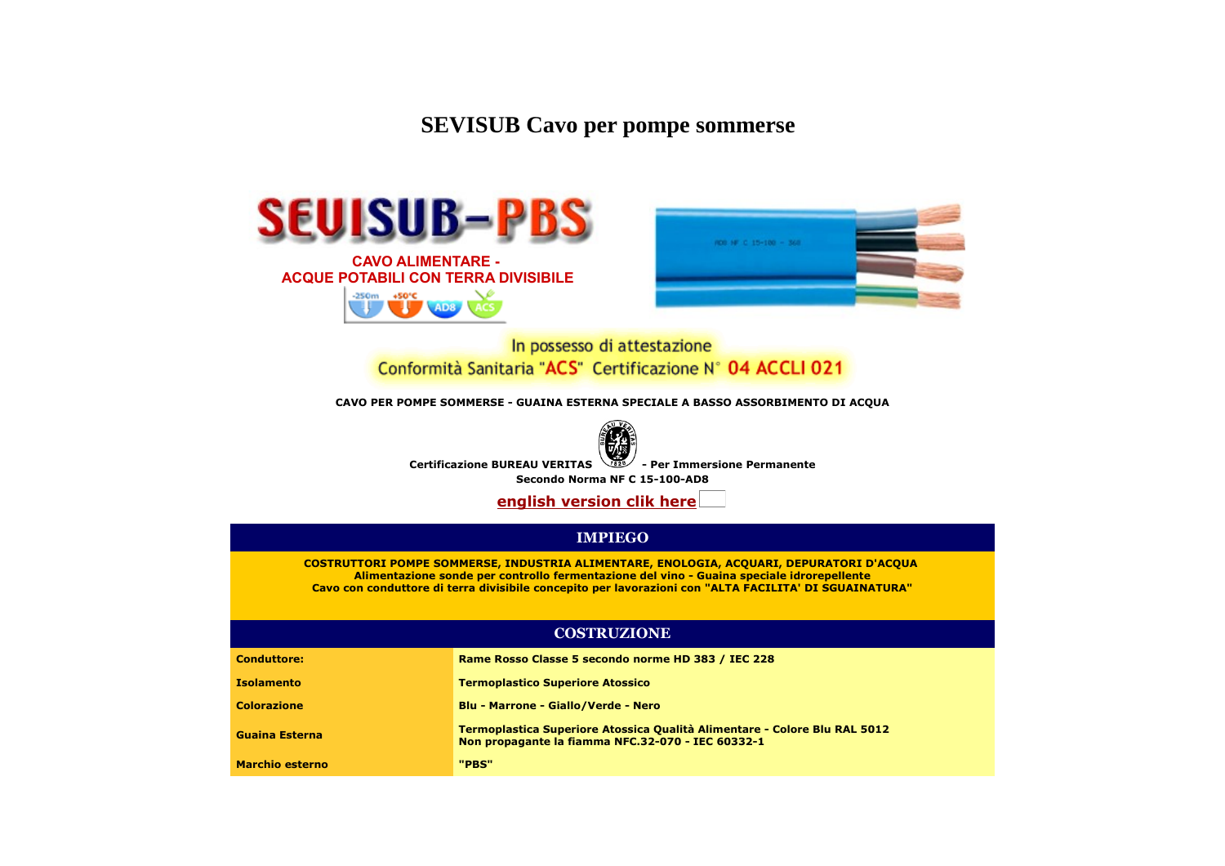**SEVISUB Cavo per pompe sommerse**





In possesso di attestazione Conformità Sanitaria "ACS" Certificazione N° 04 ACCLI 021

**CAVO PER POMPE SOMMERSE - GUAINA ESTERNA SPECIALE A BASSO ASSORBIMENTO DI ACQUA**



**Certificazione BUREAU VERITAS - Per Immersione Permanente**

**Secondo Norma NF C 15-100-AD8**

**[english version clik here](http://www.modaldemo.com/clienti/sevikabelold/sevisubingl.htm)**

#### **IMPIEGO**

**COSTRUTTORI POMPE SOMMERSE, INDUSTRIA ALIMENTARE, ENOLOGIA, ACQUARI, DEPURATORI D'ACQUA Alimentazione sonde per controllo fermentazione del vino - Guaina speciale idrorepellente Cavo con conduttore di terra divisibile concepito per lavorazioni con "ALTA FACILITA' DI SGUAINATURA"**

### **COSTRUZIONE**

| <b>Conduttore:</b>     | Rame Rosso Classe 5 secondo norme HD 383 / IEC 228                                                                                    |
|------------------------|---------------------------------------------------------------------------------------------------------------------------------------|
| <b>Isolamento</b>      | <b>Termoplastico Superiore Atossico</b>                                                                                               |
| <b>Colorazione</b>     | <b>Blu - Marrone - Giallo/Verde - Nero</b>                                                                                            |
| Guaina Esterna         | <b>Termoplastica Superiore Atossica Qualità Alimentare - Colore Blu RAL 5012</b><br>Non propagante la fiamma NFC.32-070 - IEC 60332-1 |
| <b>Marchio esterno</b> | "PBS"                                                                                                                                 |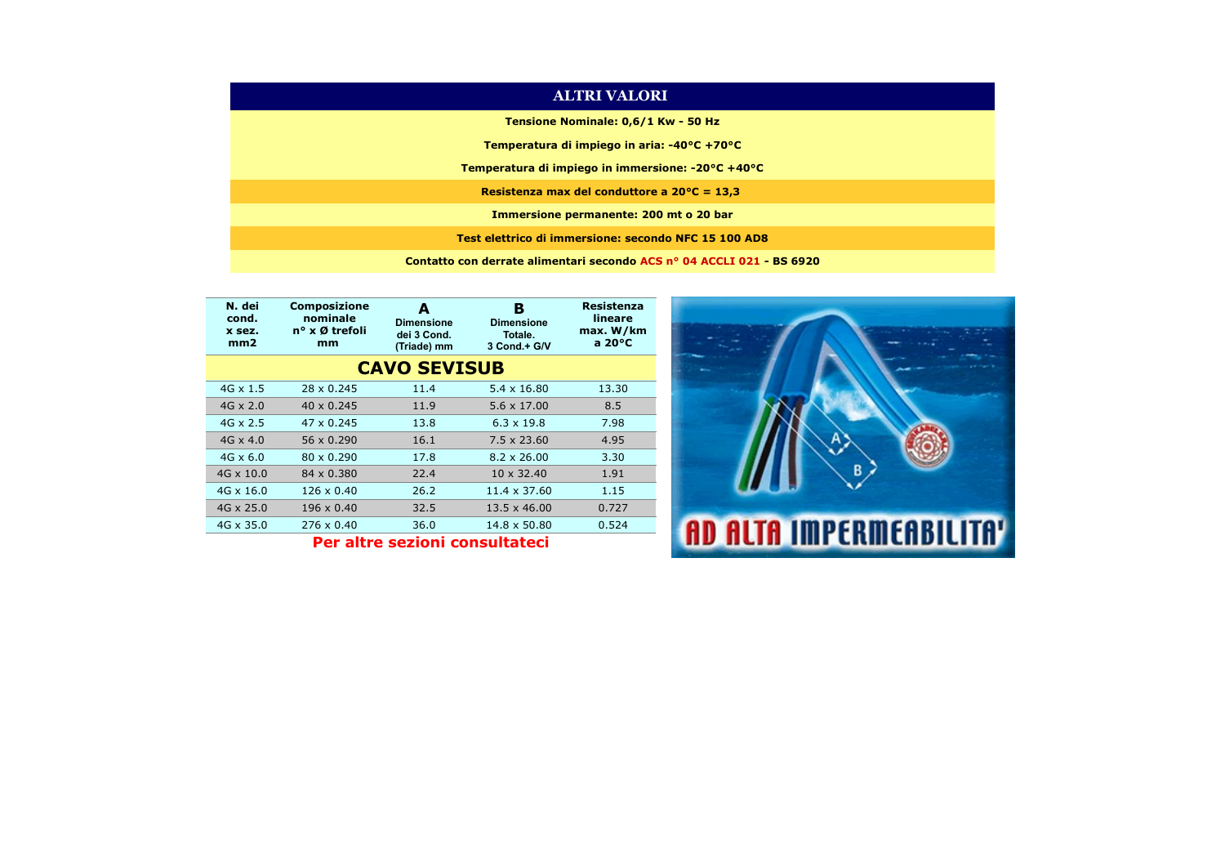| <b>ALTRI VALORI</b>                                                   |
|-----------------------------------------------------------------------|
| Tensione Nominale: 0,6/1 Kw - 50 Hz                                   |
| Temperatura di impiego in aria: $-40^{\circ}$ C +70 $^{\circ}$ C      |
| Temperatura di impiego in immersione: -20°C +40°C                     |
| Resistenza max del conduttore a $20^{\circ}$ C = 13,3                 |
| Immersione permanente: 200 mt o 20 bar                                |
| Test elettrico di immersione: secondo NFC 15 100 AD8                  |
| Contatto con derrate alimentari secondo ACS nº 04 ACCLI 021 - BS 6920 |

| N. dei<br>cond.<br>x sez.<br>mm2 | <b>Composizione</b><br>nominale<br>n° x Ø trefoli<br>mm | А<br><b>Dimensione</b><br>dei 3 Cond.<br>(Triade) mm | в<br><b>Dimensione</b><br>Totale.<br>3 Cond.+ G/V | <b>Resistenza</b><br>lineare<br>max. W/km<br>a $20^{\circ}$ C |
|----------------------------------|---------------------------------------------------------|------------------------------------------------------|---------------------------------------------------|---------------------------------------------------------------|
|                                  |                                                         | <b>CAVO SEVISUB</b>                                  |                                                   |                                                               |
| $4G \times 1.5$                  | 28 x 0.245                                              | 11.4                                                 | $5.4 \times 16.80$                                | 13.30                                                         |
| $4G \times 2.0$                  | $40 \times 0.245$                                       | 11.9                                                 | $5.6 \times 17.00$                                | 8.5                                                           |
| $4G \times 2.5$                  | 47 x 0.245                                              | 13.8                                                 | $6.3 \times 19.8$                                 | 7.98                                                          |
| $4G \times 4.0$                  | 56 x 0.290                                              | 16.1                                                 | $7.5 \times 23.60$                                | 4.95                                                          |
| $4G \times 6.0$                  | 80 x 0.290                                              | 17.8                                                 | $8.2 \times 26.00$                                | 3.30                                                          |
| $4G \times 10.0$                 | 84 x 0.380                                              | 22.4                                                 | 10 x 32.40                                        | 1.91                                                          |
| $4G \times 16.0$                 | $126 \times 0.40$                                       | 26.2                                                 | 11.4 x 37.60                                      | 1.15                                                          |
| $4G \times 25.0$                 | 196 x 0.40                                              | 32.5                                                 | $13.5 \times 46.00$                               | 0.727                                                         |
| 4G x 35.0                        | 276 x 0.40                                              | 36.0                                                 | 14.8 x 50.80                                      | 0.524                                                         |
|                                  |                                                         |                                                      |                                                   |                                                               |

**Per altre sezioni consultateci**

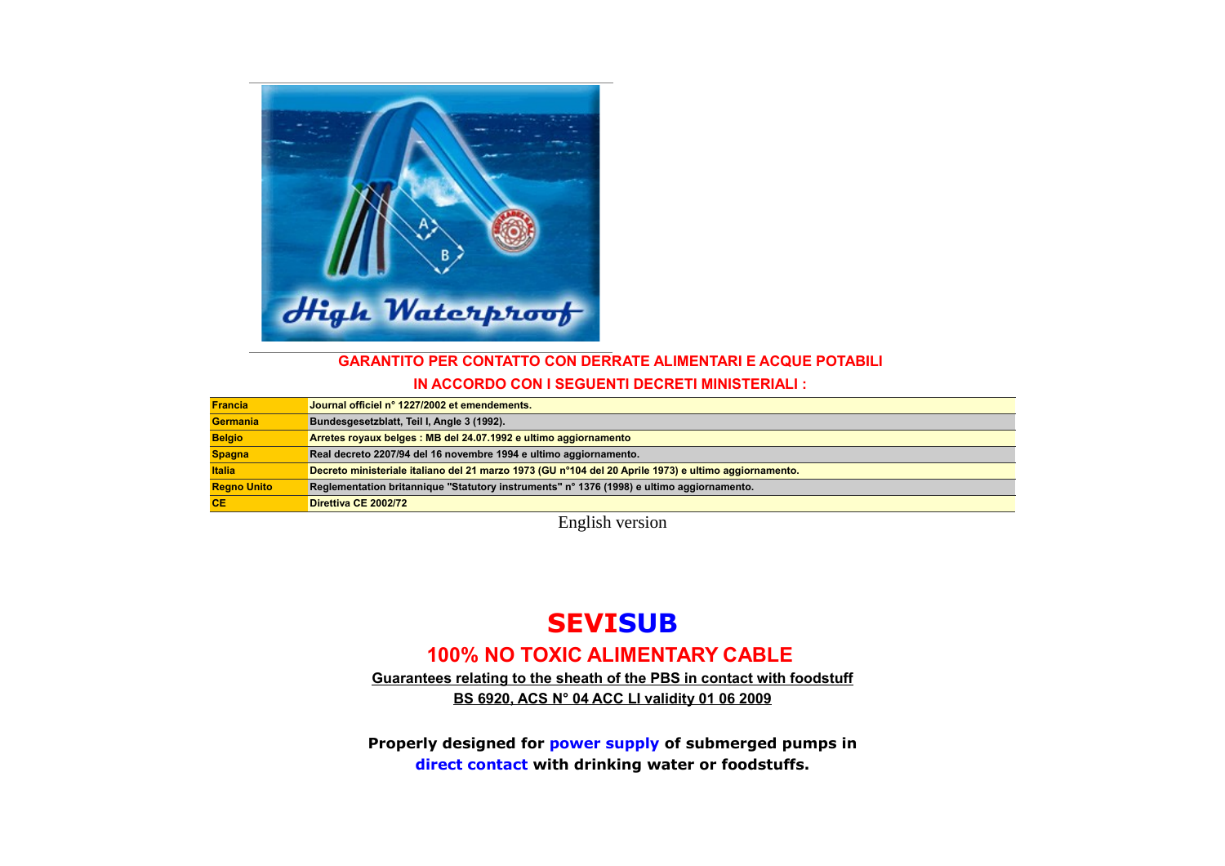

## **GARANTITO PER CONTATTO CON DERRATE ALIMENTARI E ACQUE POTABILI**

**IN ACCORDO CON I SEGUENTI DECRETI MINISTERIALI :**

| <b>Francia</b>     | Journal officiel n° 1227/2002 et emendements.                                                         |
|--------------------|-------------------------------------------------------------------------------------------------------|
| Germania           | Bundesgesetzblatt, Teil I, Angle 3 (1992).                                                            |
| <b>Belgio</b>      | Arretes royaux belges : MB del 24.07.1992 e ultimo aggiornamento                                      |
| <b>Spagna</b>      | Real decreto 2207/94 del 16 novembre 1994 e ultimo aggiornamento.                                     |
| <b>Italia</b>      | Decreto ministeriale italiano del 21 marzo 1973 (GU n°104 del 20 Aprile 1973) e ultimo aggiornamento. |
| <b>Regno Unito</b> | Reglementation britannique "Statutory instruments" n° 1376 (1998) e ultimo aggiornamento.             |
| <b>CE</b>          | Direttiva CE 2002/72                                                                                  |

English version

# **SEVISUB**

## **100% NO TOXIC ALIMENTARY CABLE**

**Guarantees relating to the sheath of the PBS in contact with foodstuff BS 6920, ACS N° 04 ACC LI validity 01 06 2009**

**Properly designed for power supply of submerged pumps in direct contact with drinking water or foodstuffs.**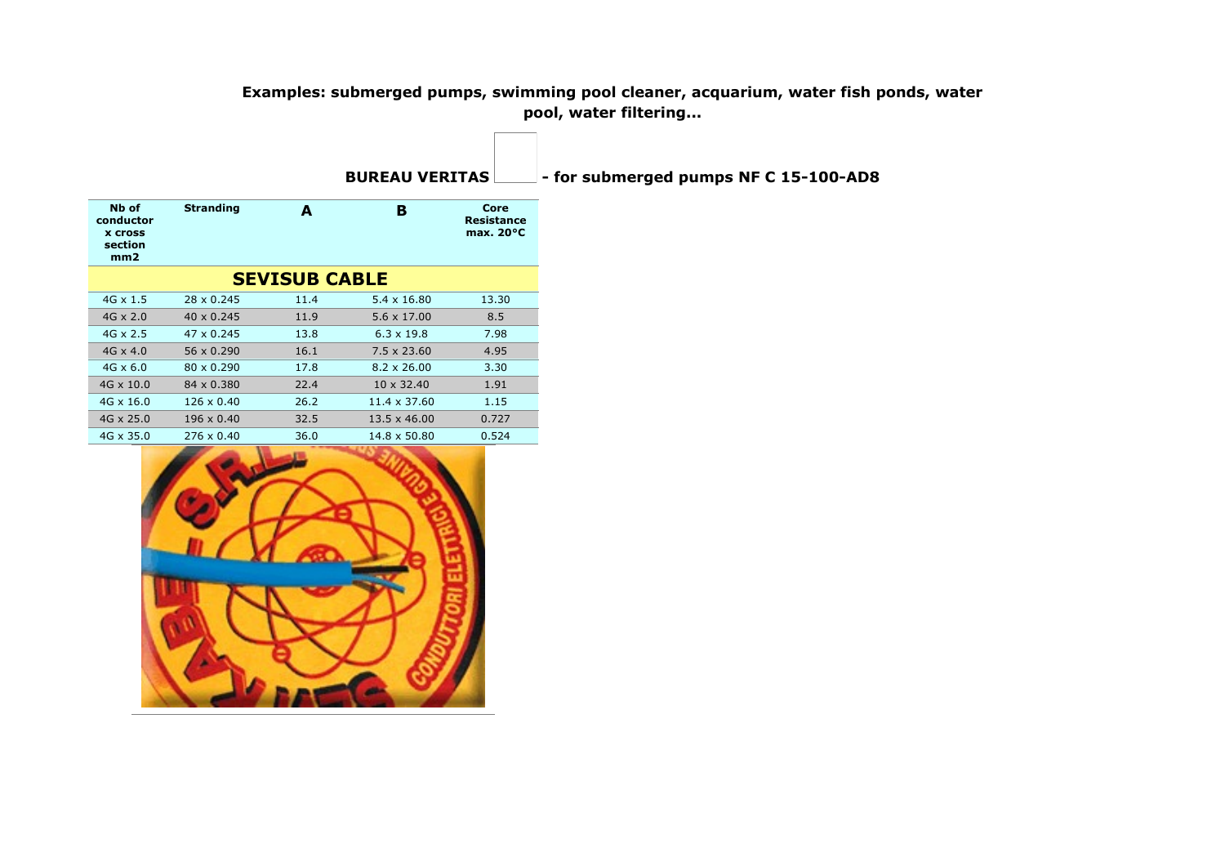## **Examples: submerged pumps, swimming pool cleaner, acquarium, water fish ponds, water pool, water filtering...**

|                                                        |                   |                      | <b>BUREAU VERITAS</b> |                                           |  |
|--------------------------------------------------------|-------------------|----------------------|-----------------------|-------------------------------------------|--|
| Nb of<br>conductor<br><b>x cross</b><br>section<br>mm2 | <b>Stranding</b>  | A                    | в                     | Core<br>Resistance<br>max. $20^{\circ}$ C |  |
|                                                        |                   | <b>SEVISUB CABLE</b> |                       |                                           |  |
| $4G \times 1.5$                                        | 28 x 0.245        | 11.4                 | $5.4 \times 16.80$    | 13.30                                     |  |
| $4G \times 2.0$                                        | $40 \times 0.245$ | 11.9                 | $5.6 \times 17.00$    | 8.5                                       |  |
| $4G \times 2.5$                                        | 47 x 0.245        | 13.8                 | $6.3 \times 19.8$     | 7.98                                      |  |
| $4G \times 4.0$                                        | $56 \times 0.290$ | 16.1                 | $7.5 \times 23.60$    | 4.95                                      |  |
| $4G \times 6.0$                                        | $80 \times 0.290$ | 17.8                 | $8.2 \times 26.00$    | 3.30                                      |  |
| $4G \times 10.0$                                       | 84 x 0.380        | 22.4                 | $10 \times 32.40$     | 1.91                                      |  |
| $4G \times 16.0$                                       | $126 \times 0.40$ | 26.2                 | 11.4 x 37.60          | 1.15                                      |  |
| $4G \times 25.0$                                       | $196 \times 0.40$ | 32.5                 | $13.5 \times 46.00$   | 0.727                                     |  |
| $4G \times 35.0$                                       | $276 \times 0.40$ | 36.0                 | $14.8 \times 50.80$   | 0.524                                     |  |

- for submerged pumps NF C 15-100-AD8

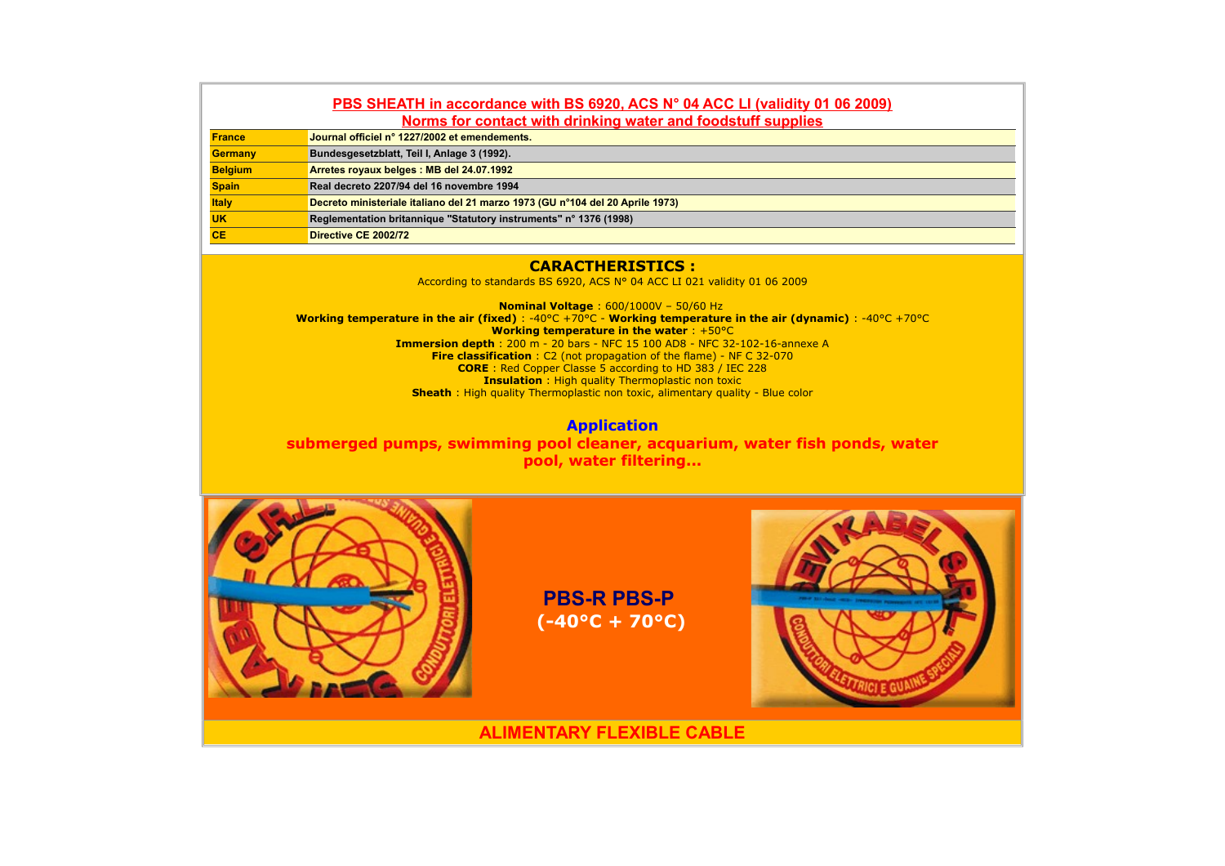## **PBS SHEATH in accordance with BS 6920, ACS N° 04 ACC LI (validity 01 06 2009) Norms for contact with drinking water and foodstuff supplies**

| <b>France</b>  | Journal officiel n° 1227/2002 et emendements.                                 |
|----------------|-------------------------------------------------------------------------------|
| <b>Germany</b> | Bundesgesetzblatt, Teil I, Anlage 3 (1992).                                   |
| <b>Belgium</b> | Arretes royaux belges: MB del 24.07.1992                                      |
| <b>Spain</b>   | Real decreto 2207/94 del 16 novembre 1994                                     |
| <b>Italy</b>   | Decreto ministeriale italiano del 21 marzo 1973 (GU nº104 del 20 Aprile 1973) |
| <b>UK</b>      | Reglementation britannique "Statutory instruments" n° 1376 (1998)             |
| <b>CE</b>      | Directive CE 2002/72                                                          |

#### **CARACTHERISTICS :**

According to standards BS 6920, ACS N° 04 ACC LI 021 validity 01 06 2009

**Nominal Voltage** : 600/1000V – 50/60 Hz **Working temperature in the air (fixed)** : -40°C +70°C - **Working temperature in the air (dynamic)** : -40°C +70°C **Working temperature in the water** : +50°C **Immersion depth** : 200 m - 20 bars - NFC 15 100 AD8 - NFC 32-102-16-annexe A **Fire classification** : C2 (not propagation of the flame) - NF C 32-070 **CORE** : Red Copper Classe 5 according to HD 383 / IEC 228 **Insulation** : High quality Thermoplastic non toxic **Sheath** : High quality Thermoplastic non toxic, alimentary quality - Blue color

**Application submerged pumps, swimming pool cleaner, acquarium, water fish ponds, water pool, water filtering...**



**PBS-R PBS-P (-40°C + 70°C)**



**ALIMENTARY FLEXIBLE CABLE**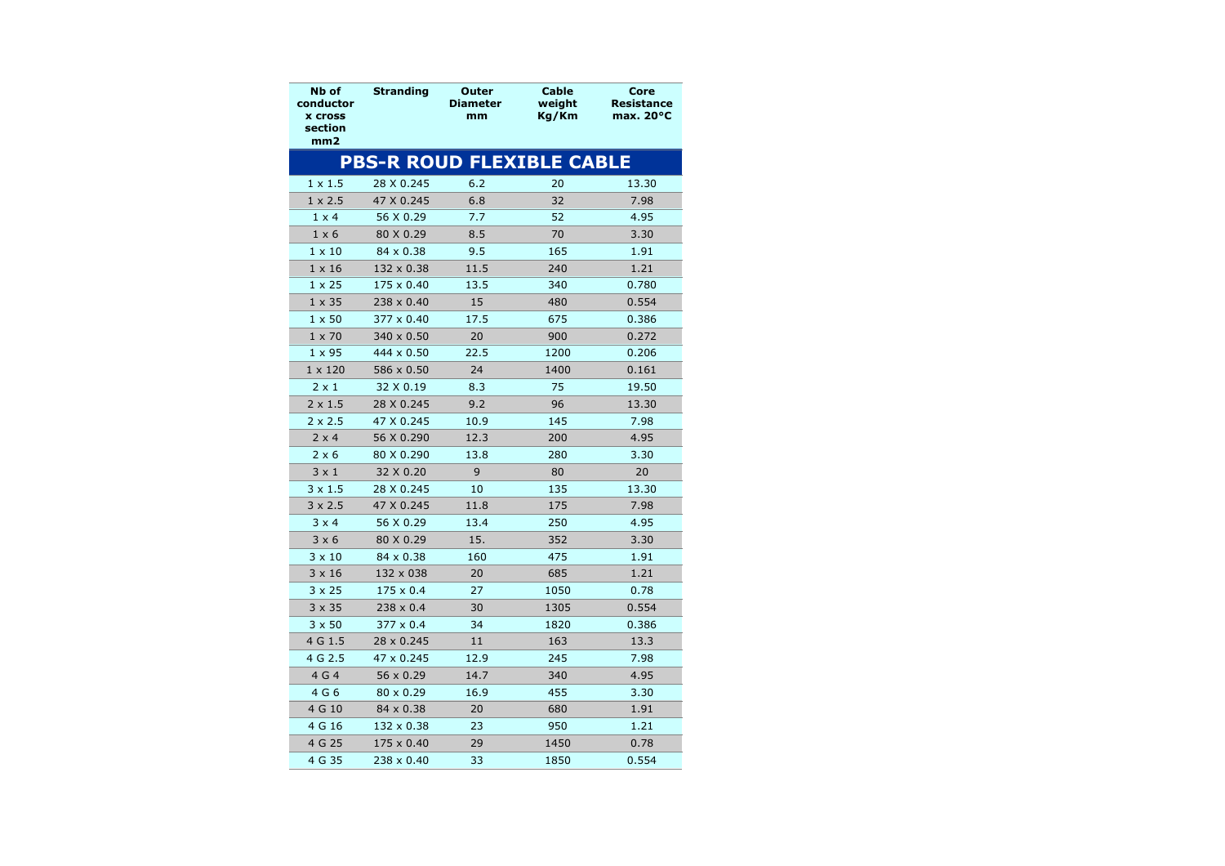| Nb of<br>conductor<br><b>x cross</b><br>section<br>mm2 | <b>Stranding</b>  | Outer<br><b>Diameter</b><br>mm   | <b>Cable</b><br>weight<br>Kg/Km | Core<br>Resistance<br>max. $20^{\circ}$ C |
|--------------------------------------------------------|-------------------|----------------------------------|---------------------------------|-------------------------------------------|
|                                                        |                   | <b>PBS-R ROUD FLEXIBLE CABLE</b> |                                 |                                           |
| $1 \times 1.5$                                         | 28 X 0.245        | 6.2                              | 20                              | 13.30                                     |
| $1 \times 2.5$                                         | 47 X 0.245        | 6.8                              | 32                              | 7.98                                      |
| $1 \times 4$                                           | 56 X 0.29         | 7.7                              | 52                              | 4.95                                      |
| $1 \times 6$                                           | 80 X 0.29         | 8.5                              | 70                              | 3.30                                      |
| $1 \times 10$                                          | 84 x 0.38         | 9.5                              | 165                             | 1.91                                      |
| $1 \times 16$                                          | 132 x 0.38        | 11.5                             | 240                             | 1.21                                      |
| $1 \times 25$                                          | 175 x 0.40        | 13.5                             | 340                             | 0.780                                     |
| $1 \times 35$                                          | 238 x 0.40        | 15                               | 480                             | 0.554                                     |
| $1 \times 50$                                          | $377 \times 0.40$ | 17.5                             | 675                             | 0.386                                     |
| $1 \times 70$                                          | 340 x 0.50        | 20                               | 900                             | 0.272                                     |
| $1 \times 95$                                          | 444 x 0.50        | 22.5                             | 1200                            | 0.206                                     |
| $1 \times 120$                                         | 586 x 0.50        | 24                               | 1400                            | 0.161                                     |
| $2 \times 1$                                           | 32 X 0.19         | 8.3                              | 75                              | 19.50                                     |
| $2 \times 1.5$                                         | 28 X 0.245        | 9.2                              | 96                              | 13.30                                     |
| $2 \times 2.5$                                         | 47 X 0.245        | 10.9                             | 145                             | 7.98                                      |
| $2 \times 4$                                           | 56 X 0.290        | 12.3                             | 200                             | 4.95                                      |
| $2 \times 6$                                           | 80 X 0.290        | 13.8                             | 280                             | 3.30                                      |
| $3 \times 1$                                           | 32 X 0.20         | 9                                | 80                              | 20                                        |
| $3 \times 1.5$                                         | 28 X 0.245        | 10                               | 135                             | 13.30                                     |
| $3 \times 2.5$                                         | 47 X 0.245        | 11.8                             | 175                             | 7.98                                      |
| $3 \times 4$                                           | 56 X 0.29         | 13.4                             | 250                             | 4.95                                      |
| $3 \times 6$                                           | 80 X 0.29         | 15.                              | 352                             | 3.30                                      |
| $3 \times 10$                                          | 84 x 0.38         | 160                              | 475                             | 1.91                                      |
| $3 \times 16$                                          | 132 x 038         | 20                               | 685                             | 1.21                                      |
| $3 \times 25$                                          | $175 \times 0.4$  | 27                               | 1050                            | 0.78                                      |
| $3 \times 35$                                          | $238 \times 0.4$  | 30                               | 1305                            | 0.554                                     |
| $3 \times 50$                                          | $377 \times 0.4$  | 34                               | 1820                            | 0.386                                     |
| 4 G 1.5                                                | 28 x 0.245        | 11                               | 163                             | 13.3                                      |
| 4 G 2.5                                                | 47 x 0.245        | 12.9                             | 245                             | 7.98                                      |
| 4 G 4                                                  | $56 \times 0.29$  | 14.7                             | 340                             | 4.95                                      |
| 4 G 6                                                  | $80 \times 0.29$  | 16.9                             | 455                             | 3.30                                      |
| 4 G 10                                                 | 84 x 0.38         | 20                               | 680                             | 1.91                                      |
| 4 G 16                                                 | 132 x 0.38        | 23                               | 950                             | 1.21                                      |
| 4 G 25                                                 | 175 x 0.40        | 29                               | 1450                            | 0.78                                      |
| 4 G 35                                                 | 238 x 0.40        | 33                               | 1850                            | 0.554                                     |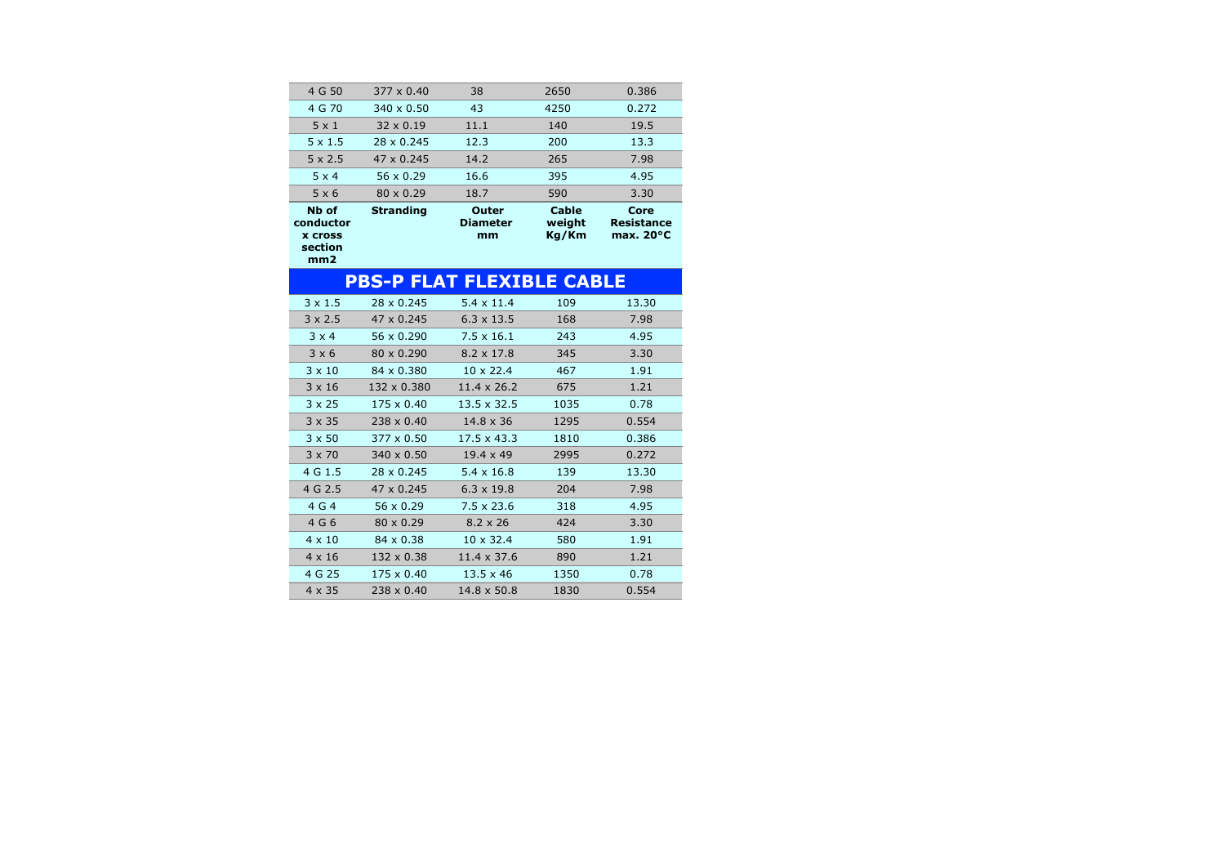| Nb of<br>conductor<br><b>X Cross</b><br>section<br>mm2 | <b>Stranding</b>  | Outer<br><b>Diameter</b><br>mm | Cable<br>weight<br>Kg/Km | Core<br><b>Resistance</b><br>max. $20^{\circ}$ C |
|--------------------------------------------------------|-------------------|--------------------------------|--------------------------|--------------------------------------------------|
| $5 \times 6$                                           | $80 \times 0.29$  | 18.7                           | 590                      | 3.30                                             |
| $5 \times 4$                                           | 56 $\times$ 0.29  | 16.6                           | 395                      | 4.95                                             |
| $5 \times 2.5$                                         | $47 \times 0.245$ | 14.2                           | 265                      | 7.98                                             |
| $5 \times 1.5$                                         | 28 x 0.245        | 12.3                           | 200                      | 13.3                                             |
| $5 \times 1$                                           | $32 \times 0.19$  | 11.1                           | 140                      | 19.5                                             |
| 4 G 70                                                 | $340 \times 0.50$ | 43                             | 4250                     | 0.272                                            |
| 4 G 50                                                 | $377 \times 0.40$ | 38                             | 2650                     | 0.386                                            |
|                                                        |                   |                                |                          |                                                  |

|                | <b>PBS-P FLAT FLEXIBLE CABLE</b> |                    |      |       |
|----------------|----------------------------------|--------------------|------|-------|
| $3 \times 1.5$ | 28 x 0.245                       | $5.4 \times 11.4$  | 109  | 13.30 |
| $3 \times 2.5$ | $47 \times 0.245$                | $6.3 \times 13.5$  | 168  | 7.98  |
| $3 \times 4$   | 56 x 0.290                       | $7.5 \times 16.1$  | 243  | 4.95  |
| $3 \times 6$   | 80 x 0.290                       | $8.2 \times 17.8$  | 345  | 3.30  |
| $3 \times 10$  | 84 x 0.380                       | $10 \times 22.4$   | 467  | 1.91  |
| $3 \times 16$  | 132 x 0.380                      | $11.4 \times 26.2$ | 675  | 1.21  |
| $3 \times 25$  | $175 \times 0.40$                | $13.5 \times 32.5$ | 1035 | 0.78  |
| $3 \times 35$  | $238 \times 0.40$                | $14.8 \times 36$   | 1295 | 0.554 |
| $3 \times 50$  | $377 \times 0.50$                | $17.5 \times 43.3$ | 1810 | 0.386 |
| $3 \times 70$  | $340 \times 0.50$                | $19.4 \times 49$   | 2995 | 0.272 |
| 4 G 1.5        | 28 x 0.245                       | $5.4 \times 16.8$  | 139  | 13.30 |
| 4 G 2.5        | 47 x 0.245                       | $6.3 \times 19.8$  | 204  | 7.98  |
| 4 G 4          | $56 \times 0.29$                 | $7.5 \times 23.6$  | 318  | 4.95  |
| 4 G 6          | $80 \times 0.29$                 | $8.2 \times 26$    | 424  | 3.30  |
| $4 \times 10$  | $84 \times 0.38$                 | $10 \times 32.4$   | 580  | 1.91  |
| $4 \times 16$  | $132 \times 0.38$                | $11.4 \times 37.6$ | 890  | 1.21  |
| 4 G 25         | $175 \times 0.40$                | $13.5 \times 46$   | 1350 | 0.78  |
| $4 \times 35$  | $238 \times 0.40$                | $14.8 \times 50.8$ | 1830 | 0.554 |